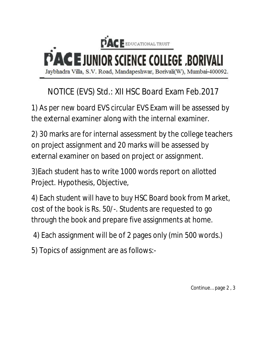

# NOTICE (EVS) Std.: XII HSC Board Exam Feb.2017

1) As per new board EVS circular EVS Exam will be assessed by the external examiner along with the internal examiner.

2) 30 marks are for internal assessment by the college teachers on project assignment and 20 marks will be assessed by external examiner on based on project or assignment.

3)Each student has to write 1000 words report on allotted Project. Hypothesis, Objective,

4) Each student will have to buy HSC Board book from Market, cost of the book is Rs. 50/-. Students are requested to go through the book and prepare five assignments at home.

4) Each assignment will be of 2 pages only (min 500 words.)

5) Topics of assignment are as follows:-

Continue… page 2 , 3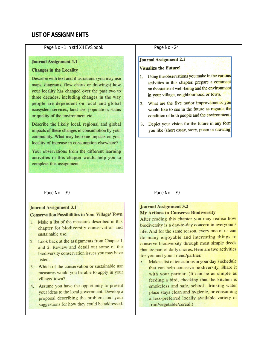## **LIST OF ASSIGNMENTS**

#### Page No - 1 in std XII EVS book

### **Journal Assignment 1.1**

#### **Changes in the Locality**

Describe with text and illustrations (you may use maps, diagrams, flow charts or drawings) how your locality has changed over the past two to three decades, including changes in the way people are dependent on local and global ecosystem services, land use, population, status or quality of the environment etc.

Describe the likely local, regional and global impacts of these changes in consumption by your community. What may be some impacts on your locality of increase in consumption elsewhere?

Your observations from the different learning activities in this chapter would help you to complete this assignment

#### Page No - 24

#### **Journal Assignment 2.1**

#### **Visualize the Future!**

- 1. Using the observations you make in the various activities in this chapter, prepare a comment on the status of well-being and the environment in your village, neighbourhood or town.
- 2. What are the five major improvements you would like to see in the future as regards the condition of both people and the environment?
- 3. Depict your vision for the future in any form you like (short essay, story, poem or drawing)

Page No - 39

#### **Journal Assignment 3.1**

#### **Conservation Possibilities in Your Village/Town**

- 1. Make a list of the measures described in this chapter for biodiversity conservation and sustainable use.
- 2. Look back at the assignments from Chapter 1 and 2. Review and detail out some of the biodiversity conservation issues you may have listed.
- 3. Which of the conservation or sustainable use measures would you be able to apply in your village/ town?
- 4. Assume you have the opportunity to present your ideas to the local government. Develop a proposal describing the problem and your suggestions for how they could be addressed.

#### Page No - 39

#### **Journal Assignment 3.2 My Actions to Conserve Biodiversity**

After reading this chapter you may realise how biodiversity is a day-to-day concern in everyone's life. And for the same reason, every one of us can do many enjoyable and interesting things to conserve biodiversity through most simple deeds that are part of daily chores. Here are two activities for you and your friend/partner.

Make a list of ten actions in your day's schedule  $\bullet$ that can help conserve biodiversity. Share it with your partner. (It can be as simple as feeding a bird, checking that the kitchen is smokeless and safe, school- drinking water place stays clean and hygienic, or consuming a less-preferred locally available variety of fruit/vegetable/cereal.)